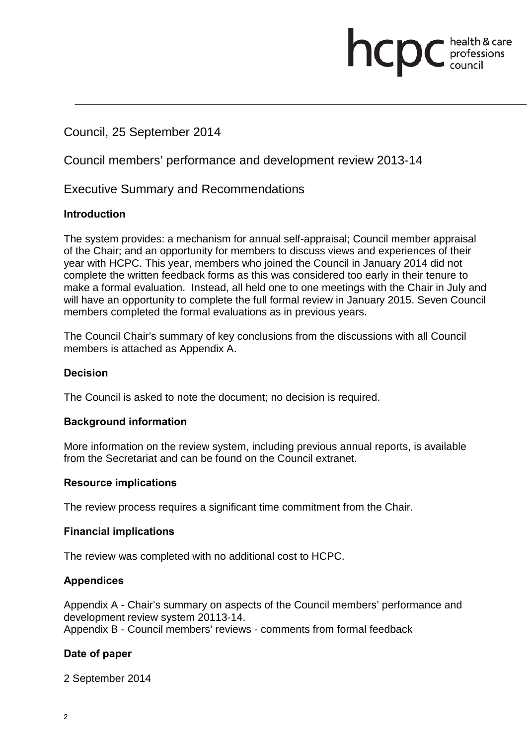# Council, 25 September 2014

Council members' performance and development review 2013-14

# Executive Summary and Recommendations

# **Introduction**

The system provides: a mechanism for annual self-appraisal; Council member appraisal of the Chair; and an opportunity for members to discuss views and experiences of their year with HCPC. This year, members who joined the Council in January 2014 did not complete the written feedback forms as this was considered too early in their tenure to make a formal evaluation. Instead, all held one to one meetings with the Chair in July and will have an opportunity to complete the full formal review in January 2015. Seven Council members completed the formal evaluations as in previous years.

**health & card**<br>council

health & care

The Council Chair's summary of key conclusions from the discussions with all Council members is attached as Appendix A.

# **Decision**

The Council is asked to note the document; no decision is required.

# **Background information**

More information on the review system, including previous annual reports, is available from the Secretariat and can be found on the Council extranet.

# **Resource implications**

The review process requires a significant time commitment from the Chair.

# **Financial implications**

The review was completed with no additional cost to HCPC.

# **Appendices**

Appendix A - Chair's summary on aspects of the Council members' performance and development review system 20113-14. Appendix B - Council members' reviews - comments from formal feedback

# **Date of paper**

2 September 2014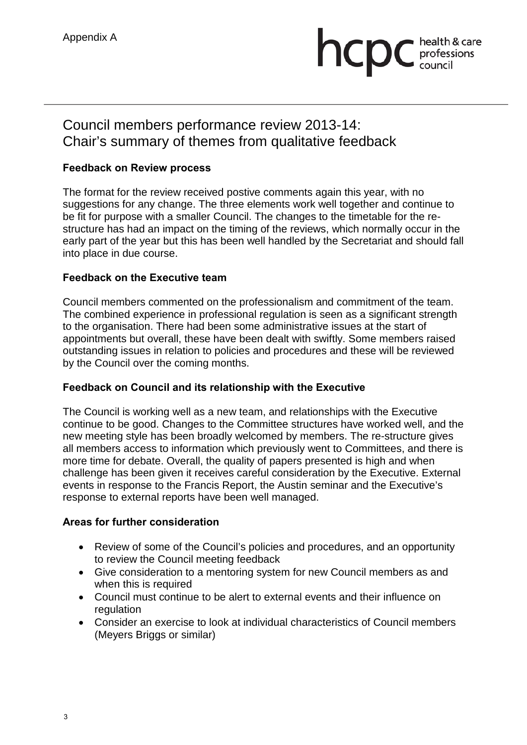# Appendix A<br> **Appendix A**<br> **Appendix A**<br> **Appendix A**<br> **Appendix A**<br> **Appendix A**<br> **Appendix A**<br> **Appendix A**<br> **Appendix A**<br> **Appendix A**<br> **Appendix A**<br> **Appendix A**<br> **Appendix A**<br> **Appendix A**<br> **Appendix A**<br> **Appendix A**<br> professions

# Council members performance review 2013-14: Chair's summary of themes from qualitative feedback

# **Feedback on Review process**

The format for the review received postive comments again this year, with no suggestions for any change. The three elements work well together and continue to be fit for purpose with a smaller Council. The changes to the timetable for the restructure has had an impact on the timing of the reviews, which normally occur in the early part of the year but this has been well handled by the Secretariat and should fall into place in due course.

# **Feedback on the Executive team**

Council members commented on the professionalism and commitment of the team. The combined experience in professional regulation is seen as a significant strength to the organisation. There had been some administrative issues at the start of appointments but overall, these have been dealt with swiftly. Some members raised outstanding issues in relation to policies and procedures and these will be reviewed by the Council over the coming months.

# **Feedback on Council and its relationship with the Executive**

The Council is working well as a new team, and relationships with the Executive continue to be good. Changes to the Committee structures have worked well, and the new meeting style has been broadly welcomed by members. The re-structure gives all members access to information which previously went to Committees, and there is more time for debate. Overall, the quality of papers presented is high and when challenge has been given it receives careful consideration by the Executive. External events in response to the Francis Report, the Austin seminar and the Executive's response to external reports have been well managed.

# **Areas for further consideration**

- Review of some of the Council's policies and procedures, and an opportunity to review the Council meeting feedback
- Give consideration to a mentoring system for new Council members as and when this is required
- Council must continue to be alert to external events and their influence on regulation
- Consider an exercise to look at individual characteristics of Council members (Meyers Briggs or similar)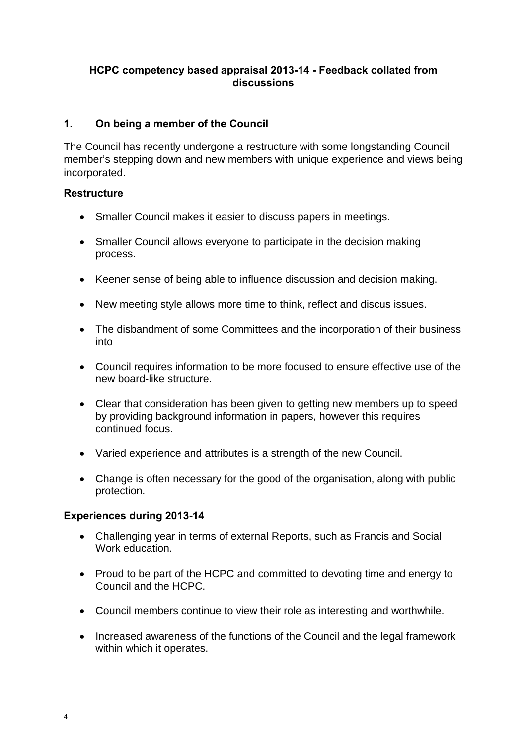# **HCPC competency based appraisal 2013-14 - Feedback collated from discussions**

# **1. On being a member of the Council**

The Council has recently undergone a restructure with some longstanding Council member's stepping down and new members with unique experience and views being incorporated.

# **Restructure**

- Smaller Council makes it easier to discuss papers in meetings.
- Smaller Council allows everyone to participate in the decision making process.
- Keener sense of being able to influence discussion and decision making.
- New meeting style allows more time to think, reflect and discus issues.
- The disbandment of some Committees and the incorporation of their business into
- Council requires information to be more focused to ensure effective use of the new board-like structure.
- Clear that consideration has been given to getting new members up to speed by providing background information in papers, however this requires continued focus.
- Varied experience and attributes is a strength of the new Council.
- Change is often necessary for the good of the organisation, along with public protection.

# **Experiences during 2013-14**

- Challenging year in terms of external Reports, such as Francis and Social Work education.
- Proud to be part of the HCPC and committed to devoting time and energy to Council and the HCPC.
- Council members continue to view their role as interesting and worthwhile.
- Increased awareness of the functions of the Council and the legal framework within which it operates.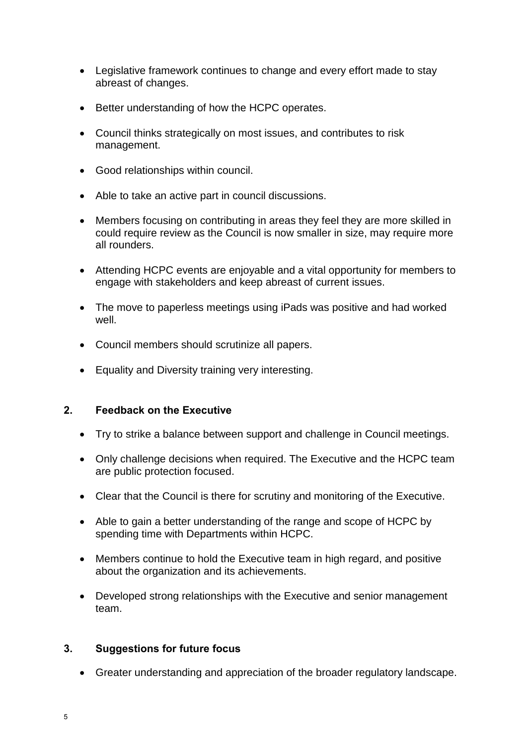- Legislative framework continues to change and every effort made to stay abreast of changes.
- Better understanding of how the HCPC operates.
- Council thinks strategically on most issues, and contributes to risk management.
- Good relationships within council.
- Able to take an active part in council discussions.
- Members focusing on contributing in areas they feel they are more skilled in could require review as the Council is now smaller in size, may require more all rounders.
- Attending HCPC events are enjoyable and a vital opportunity for members to engage with stakeholders and keep abreast of current issues.
- The move to paperless meetings using iPads was positive and had worked well.
- Council members should scrutinize all papers.
- Equality and Diversity training very interesting.

# **2. Feedback on the Executive**

- Try to strike a balance between support and challenge in Council meetings.
- Only challenge decisions when required. The Executive and the HCPC team are public protection focused.
- Clear that the Council is there for scrutiny and monitoring of the Executive.
- Able to gain a better understanding of the range and scope of HCPC by spending time with Departments within HCPC.
- Members continue to hold the Executive team in high regard, and positive about the organization and its achievements.
- Developed strong relationships with the Executive and senior management team.

# **3. Suggestions for future focus**

• Greater understanding and appreciation of the broader regulatory landscape.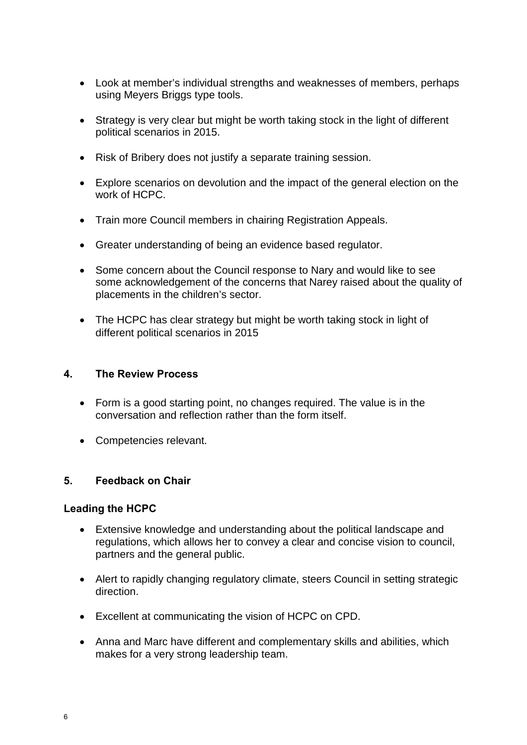- Look at member's individual strengths and weaknesses of members, perhaps using Meyers Briggs type tools.
- Strategy is very clear but might be worth taking stock in the light of different political scenarios in 2015.
- Risk of Bribery does not justify a separate training session.
- Explore scenarios on devolution and the impact of the general election on the work of HCPC.
- Train more Council members in chairing Registration Appeals.
- Greater understanding of being an evidence based regulator.
- Some concern about the Council response to Nary and would like to see some acknowledgement of the concerns that Narey raised about the quality of placements in the children's sector.
- The HCPC has clear strategy but might be worth taking stock in light of different political scenarios in 2015

# **4. The Review Process**

- Form is a good starting point, no changes required. The value is in the conversation and reflection rather than the form itself.
- Competencies relevant.

# **5. Feedback on Chair**

# **Leading the HCPC**

- Extensive knowledge and understanding about the political landscape and regulations, which allows her to convey a clear and concise vision to council, partners and the general public.
- Alert to rapidly changing regulatory climate, steers Council in setting strategic direction.
- Excellent at communicating the vision of HCPC on CPD.
- Anna and Marc have different and complementary skills and abilities, which makes for a very strong leadership team.